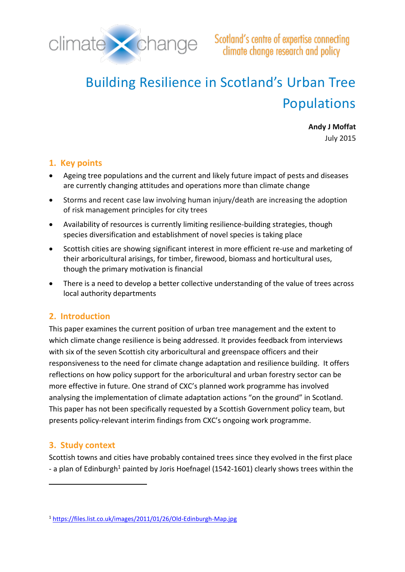

# Building Resilience in Scotland's Urban Tree Populations

**Andy J Moffat**

July 2015

## **1. Key points**

- Ageing tree populations and the current and likely future impact of pests and diseases are currently changing attitudes and operations more than climate change
- Storms and recent case law involving human injury/death are increasing the adoption of risk management principles for city trees
- Availability of resources is currently limiting resilience-building strategies, though species diversification and establishment of novel species is taking place
- Scottish cities are showing significant interest in more efficient re-use and marketing of their arboricultural arisings, for timber, firewood, biomass and horticultural uses, though the primary motivation is financial
- There is a need to develop a better collective understanding of the value of trees across local authority departments

# **2. Introduction**

This paper examines the current position of urban tree management and the extent to which climate change resilience is being addressed. It provides feedback from interviews with six of the seven Scottish city arboricultural and greenspace officers and their responsiveness to the need for climate change adaptation and resilience building. It offers reflections on how policy support for the arboricultural and urban forestry sector can be more effective in future. One strand of CXC's planned work programme has involved analysing the implementation of climate adaptation actions "on the ground" in Scotland. This paper has not been specifically requested by a Scottish Government policy team, but presents policy-relevant interim findings from CXC's ongoing work programme.

# **3. Study context**

<u>.</u>

Scottish towns and cities have probably contained trees since they evolved in the first place - a plan of Edinburgh<sup>1</sup> painted by Joris Hoefnagel (1542-1601) clearly shows trees within the

<sup>1</sup> <https://files.list.co.uk/images/2011/01/26/Old-Edinburgh-Map.jpg>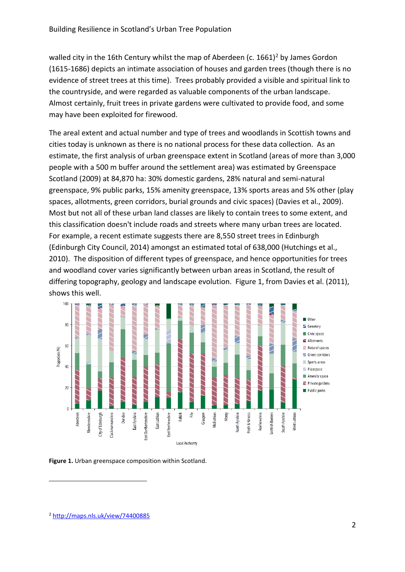walled city in the 16th Century whilst the map of Aberdeen (c.  $1661$ )<sup>2</sup> by James Gordon (1615-1686) depicts an intimate association of houses and garden trees (though there is no evidence of street trees at this time). Trees probably provided a visible and spiritual link to the countryside, and were regarded as valuable components of the urban landscape. Almost certainly, fruit trees in private gardens were cultivated to provide food, and some may have been exploited for firewood.

The areal extent and actual number and type of trees and woodlands in Scottish towns and cities today is unknown as there is no national process for these data collection. As an estimate, the first analysis of urban greenspace extent in Scotland (areas of more than 3,000 people with a 500 m buffer around the settlement area) was estimated by Greenspace Scotland (2009) at 84,870 ha: 30% domestic gardens, 28% natural and semi-natural greenspace, 9% public parks, 15% amenity greenspace, 13% sports areas and 5% other (play spaces, allotments, green corridors, burial grounds and civic spaces) (Davies et al., 2009). Most but not all of these urban land classes are likely to contain trees to some extent, and this classification doesn't include roads and streets where many urban trees are located. For example, a recent estimate suggests there are 8,550 street trees in Edinburgh (Edinburgh City Council, 2014) amongst an estimated total of 638,000 (Hutchings et al., 2010). The disposition of different types of greenspace, and hence opportunities for trees and woodland cover varies significantly between urban areas in Scotland, the result of differing topography, geology and landscape evolution. Figure 1, from Davies et al. (2011), shows this well.





<sup>2</sup> <http://maps.nls.uk/view/74400885>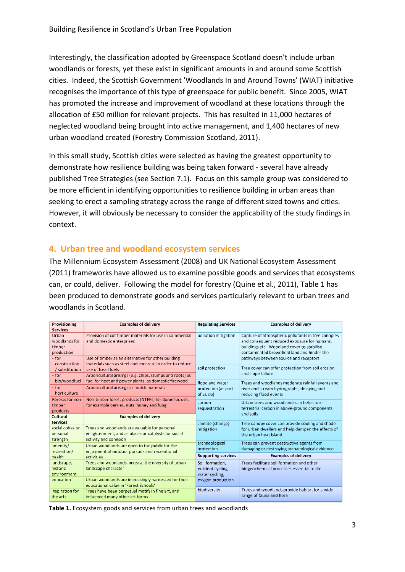Interestingly, the classification adopted by Greenspace Scotland doesn't include urban woodlands or forests, yet these exist in significant amounts in and around some Scottish cities. Indeed, the Scottish Government 'Woodlands In and Around Towns' (WIAT) initiative recognises the importance of this type of greenspace for public benefit. Since 2005, WIAT has promoted the increase and improvement of woodland at these locations through the allocation of £50 million for relevant projects. This has resulted in 11,000 hectares of neglected woodland being brought into active management, and 1,400 hectares of new urban woodland created (Forestry Commission Scotland, 2011).

In this small study, Scottish cities were selected as having the greatest opportunity to demonstrate how resilience building was being taken forward - several have already published Tree Strategies (see Section 7.1). Focus on this sample group was considered to be more efficient in identifying opportunities to resilience building in urban areas than seeking to erect a sampling strategy across the range of different sized towns and cities. However, it will obviously be necessary to consider the applicability of the study findings in context.

## **4. Urban tree and woodland ecosystem services**

The Millennium Ecosystem Assessment (2008) and UK National Ecosystem Assessment (2011) frameworks have allowed us to examine possible goods and services that ecosystems can, or could, deliver. Following the model for forestry (Quine et al., 2011), Table 1 has been produced to demonstrate goods and services particularly relevant to urban trees and woodlands in Scotland.

| Provisioning     | <b>Examples of delivery</b>                               | <b>Regulating Services</b> | <b>Examples of delivery</b>                                                |
|------------------|-----------------------------------------------------------|----------------------------|----------------------------------------------------------------------------|
| <b>Services</b>  |                                                           |                            |                                                                            |
| Urban            | Provision of cut timber materials for use in commercial   | pollution mitigation       | Capture of atmospheric pollutants in tree canopies                         |
| woodlands for    | and domestic enterprises                                  |                            | and consequent reduced exposure for humans,                                |
| timber           |                                                           |                            | buildings etc. Woodland cover to stabilise                                 |
| production       |                                                           |                            | contaminated brownfield land and hinder the                                |
| - for            | Use of timber as an alternative for other building        |                            | pathways between source and receptors                                      |
| construction     | materials such as steel and concrete in order to reduce   |                            |                                                                            |
| / substitution   | use of fossil fuels                                       | soil protection            | Tree cover can offer protection from soil erosion                          |
| $-$ for          | Arboricultural arisings (e.g. chips, stumps and roots) as |                            | and slope failure                                                          |
| bio/woodfuel     | fuel for heat and power plants, as domestic firewood      | flood and water            | Trees and woodlands moderate rainfall events and                           |
| $-$ for          | Arboricultural arisings as mulch materials                | protection (as part        | river and stream hydrographs, delaying and                                 |
| horticulture     |                                                           | of SUDS)                   | reducing flood events                                                      |
| Forests for non  | Non-timber forest products (NTFPs) for domestic use,      |                            |                                                                            |
| timber           | for example berries, nuts, honey and fungi                | carbon                     | Urban trees and woodlands can help store                                   |
| products         |                                                           | sequestration              | terrestrial carbon in above-ground components                              |
|                  |                                                           |                            |                                                                            |
| Cultural         | <b>Examples of delivery</b>                               |                            | and soils                                                                  |
| services         |                                                           |                            |                                                                            |
| social cohesion, | Trees and woodlands are valuable for personal             | climate (change)           | Tree canopy cover can provide cooling and shade                            |
| personal         | enlightenment, and as places or catalysts for social      | mitigation                 | for urban dwellers and help dampen the effects of<br>the urban heat island |
| strength         | activity and cohesion                                     |                            |                                                                            |
| amenity/         | Urban woodlands are open to the public for the            | archaeological             | Trees can prevent destructive agents from                                  |
| recreation/      | enjoyment of outdoor pursuits and recreational            | protection                 | damaging or destroying archaeological evidence                             |
| health           | activities.                                               | <b>Supporting services</b> | <b>Examples of delivery</b>                                                |
| landscape,       | Trees and woodlands increase the diversity of urban       | Soil formation.            | Trees facilitate soil formation and other                                  |
| historic         | landscape character                                       | nutrient cycling,          | biogeochemical processes essential to life                                 |
| environment      |                                                           | water cycling,             |                                                                            |
| education        | Urban woodlands are increasingly harnessed for their      | oxygen production          |                                                                            |
|                  | educational value in 'Forest Schools'                     |                            |                                                                            |
| inspiration for  | Trees have been perpetual motifs in fine art, and         | biodiversity               | Trees and woodlands provide habitat for a wide                             |
| the arts         | influenced many other art forms                           |                            | range of fauna and flora                                                   |

**Table 1.** Ecosystem goods and services from urban trees and woodlands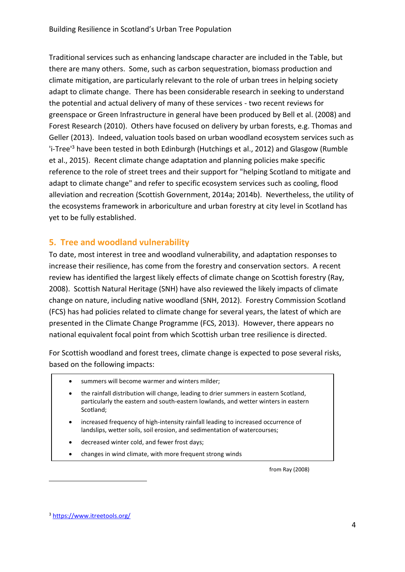Traditional services such as enhancing landscape character are included in the Table, but there are many others. Some, such as carbon sequestration, biomass production and climate mitigation, are particularly relevant to the role of urban trees in helping society adapt to climate change. There has been considerable research in seeking to understand the potential and actual delivery of many of these services - two recent reviews for greenspace or Green Infrastructure in general have been produced by Bell et al. (2008) and Forest Research (2010). Others have focused on delivery by urban forests, e.g. Thomas and Geller (2013). Indeed, valuation tools based on urban woodland ecosystem services such as 'i-Tree<sup>13</sup> have been tested in both Edinburgh (Hutchings et al., 2012) and Glasgow (Rumble et al., 2015). Recent climate change adaptation and planning policies make specific reference to the role of street trees and their support for "helping Scotland to mitigate and adapt to climate change" and refer to specific ecosystem services such as cooling, flood alleviation and recreation (Scottish Government, 2014a; 2014b). Nevertheless, the utility of the ecosystems framework in arboriculture and urban forestry at city level in Scotland has yet to be fully established.

# **5. Tree and woodland vulnerability**

To date, most interest in tree and woodland vulnerability, and adaptation responses to increase their resilience, has come from the forestry and conservation sectors. A recent review has identified the largest likely effects of climate change on Scottish forestry (Ray, 2008). Scottish Natural Heritage (SNH) have also reviewed the likely impacts of climate change on nature, including native woodland (SNH, 2012). Forestry Commission Scotland (FCS) has had policies related to climate change for several years, the latest of which are presented in the Climate Change Programme (FCS, 2013). However, there appears no national equivalent focal point from which Scottish urban tree resilience is directed.

For Scottish woodland and forest trees, climate change is expected to pose several risks, based on the following impacts:

- summers will become warmer and winters milder;
- the rainfall distribution will change, leading to drier summers in eastern Scotland, particularly the eastern and south-eastern lowlands, and wetter winters in eastern Scotland;
- increased frequency of high-intensity rainfall leading to increased occurrence of landslips, wetter soils, soil erosion, and sedimentation of watercourses;
- decreased winter cold, and fewer frost days;
- changes in wind climate, with more frequent strong winds

from Ray (2008)

<sup>3</sup> <https://www.itreetools.org/>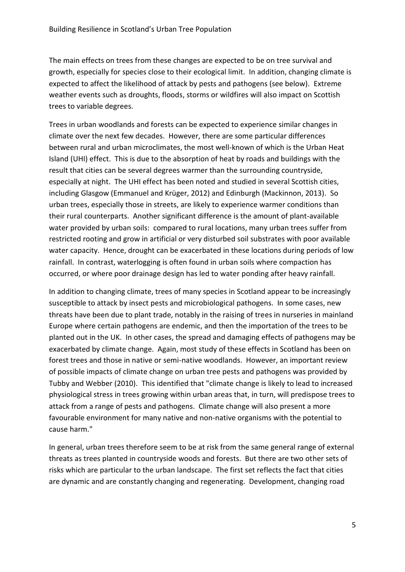The main effects on trees from these changes are expected to be on tree survival and growth, especially for species close to their ecological limit. In addition, changing climate is expected to affect the likelihood of attack by pests and pathogens (see below). Extreme weather events such as droughts, floods, storms or wildfires will also impact on Scottish trees to variable degrees.

Trees in urban woodlands and forests can be expected to experience similar changes in climate over the next few decades. However, there are some particular differences between rural and urban microclimates, the most well-known of which is the Urban Heat Island (UHI) effect. This is due to the absorption of heat by roads and buildings with the result that cities can be several degrees warmer than the surrounding countryside, especially at night. The UHI effect has been noted and studied in several Scottish cities, including Glasgow (Emmanuel and Krüger, 2012) and Edinburgh (Mackinnon, 2013). So urban trees, especially those in streets, are likely to experience warmer conditions than their rural counterparts. Another significant difference is the amount of plant-available water provided by urban soils: compared to rural locations, many urban trees suffer from restricted rooting and grow in artificial or very disturbed soil substrates with poor available water capacity. Hence, drought can be exacerbated in these locations during periods of low rainfall. In contrast, waterlogging is often found in urban soils where compaction has occurred, or where poor drainage design has led to water ponding after heavy rainfall.

In addition to changing climate, trees of many species in Scotland appear to be increasingly susceptible to attack by insect pests and microbiological pathogens. In some cases, new threats have been due to plant trade, notably in the raising of trees in nurseries in mainland Europe where certain pathogens are endemic, and then the importation of the trees to be planted out in the UK. In other cases, the spread and damaging effects of pathogens may be exacerbated by climate change. Again, most study of these effects in Scotland has been on forest trees and those in native or semi-native woodlands. However, an important review of possible impacts of climate change on urban tree pests and pathogens was provided by Tubby and Webber (2010). This identified that "climate change is likely to lead to increased physiological stress in trees growing within urban areas that, in turn, will predispose trees to attack from a range of pests and pathogens. Climate change will also present a more favourable environment for many native and non-native organisms with the potential to cause harm."

In general, urban trees therefore seem to be at risk from the same general range of external threats as trees planted in countryside woods and forests. But there are two other sets of risks which are particular to the urban landscape. The first set reflects the fact that cities are dynamic and are constantly changing and regenerating. Development, changing road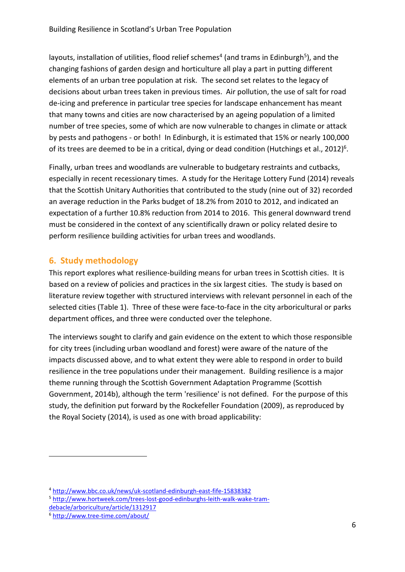layouts, installation of utilities, flood relief schemes<sup>4</sup> (and trams in Edinburgh<sup>5</sup>), and the changing fashions of garden design and horticulture all play a part in putting different elements of an urban tree population at risk. The second set relates to the legacy of decisions about urban trees taken in previous times. Air pollution, the use of salt for road de-icing and preference in particular tree species for landscape enhancement has meant that many towns and cities are now characterised by an ageing population of a limited number of tree species, some of which are now vulnerable to changes in climate or attack by pests and pathogens - or both! In Edinburgh, it is estimated that 15% or nearly 100,000 of its trees are deemed to be in a critical, dying or dead condition (Hutchings et al., 2012)<sup>6</sup>.

Finally, urban trees and woodlands are vulnerable to budgetary restraints and cutbacks, especially in recent recessionary times. A study for the Heritage Lottery Fund (2014) reveals that the Scottish Unitary Authorities that contributed to the study (nine out of 32) recorded an average reduction in the Parks budget of 18.2% from 2010 to 2012, and indicated an expectation of a further 10.8% reduction from 2014 to 2016. This general downward trend must be considered in the context of any scientifically drawn or policy related desire to perform resilience building activities for urban trees and woodlands.

# **6. Study methodology**

This report explores what resilience-building means for urban trees in Scottish cities. It is based on a review of policies and practices in the six largest cities. The study is based on literature review together with structured interviews with relevant personnel in each of the selected cities (Table 1). Three of these were face-to-face in the city arboricultural or parks department offices, and three were conducted over the telephone.

The interviews sought to clarify and gain evidence on the extent to which those responsible for city trees (including urban woodland and forest) were aware of the nature of the impacts discussed above, and to what extent they were able to respond in order to build resilience in the tree populations under their management. Building resilience is a major theme running through the Scottish Government Adaptation Programme (Scottish Government, 2014b), although the term 'resilience' is not defined. For the purpose of this study, the definition put forward by the Rockefeller Foundation (2009), as reproduced by the Royal Society (2014), is used as one with broad applicability:

<sup>4</sup> <http://www.bbc.co.uk/news/uk-scotland-edinburgh-east-fife-15838382>

<sup>5</sup> [http://www.hortweek.com/trees-lost-good-edinburghs-leith-walk-wake-tram](http://www.hortweek.com/trees-lost-good-edinburghs-leith-walk-wake-tram-debacle/arboriculture/article/1312917)[debacle/arboriculture/article/1312917](http://www.hortweek.com/trees-lost-good-edinburghs-leith-walk-wake-tram-debacle/arboriculture/article/1312917)

<sup>6</sup> <http://www.tree-time.com/about/>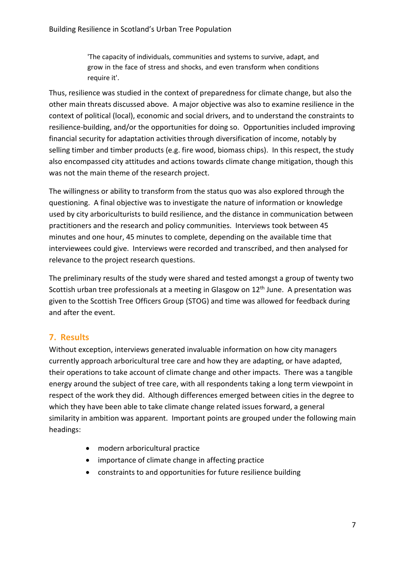'The capacity of individuals, communities and systems to survive, adapt, and grow in the face of stress and shocks, and even transform when conditions require it'.

Thus, resilience was studied in the context of preparedness for climate change, but also the other main threats discussed above. A major objective was also to examine resilience in the context of political (local), economic and social drivers, and to understand the constraints to resilience-building, and/or the opportunities for doing so. Opportunities included improving financial security for adaptation activities through diversification of income, notably by selling timber and timber products (e.g. fire wood, biomass chips). In this respect, the study also encompassed city attitudes and actions towards climate change mitigation, though this was not the main theme of the research project.

The willingness or ability to transform from the status quo was also explored through the questioning. A final objective was to investigate the nature of information or knowledge used by city arboriculturists to build resilience, and the distance in communication between practitioners and the research and policy communities. Interviews took between 45 minutes and one hour, 45 minutes to complete, depending on the available time that interviewees could give. Interviews were recorded and transcribed, and then analysed for relevance to the project research questions.

The preliminary results of the study were shared and tested amongst a group of twenty two Scottish urban tree professionals at a meeting in Glasgow on 12<sup>th</sup> June. A presentation was given to the Scottish Tree Officers Group (STOG) and time was allowed for feedback during and after the event.

# **7. Results**

Without exception, interviews generated invaluable information on how city managers currently approach arboricultural tree care and how they are adapting, or have adapted, their operations to take account of climate change and other impacts. There was a tangible energy around the subject of tree care, with all respondents taking a long term viewpoint in respect of the work they did. Although differences emerged between cities in the degree to which they have been able to take climate change related issues forward, a general similarity in ambition was apparent. Important points are grouped under the following main headings:

- modern arboricultural practice
- importance of climate change in affecting practice
- constraints to and opportunities for future resilience building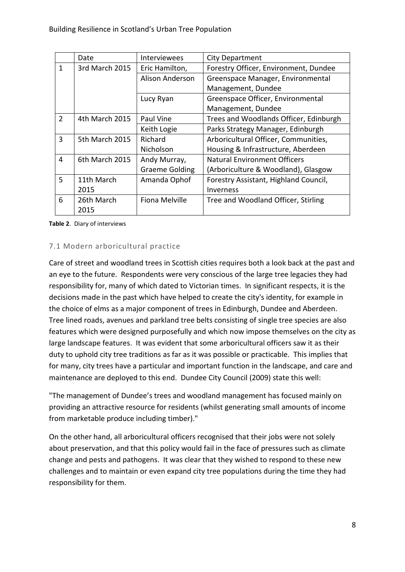|                     | Date           | Interviewees          | <b>City Department</b>                 |  |
|---------------------|----------------|-----------------------|----------------------------------------|--|
| 3rd March 2015<br>1 |                | Eric Hamilton,        | Forestry Officer, Environment, Dundee  |  |
|                     |                | Alison Anderson       | Greenspace Manager, Environmental      |  |
|                     |                |                       | Management, Dundee                     |  |
|                     |                | Lucy Ryan             | Greenspace Officer, Environmental      |  |
|                     |                |                       | Management, Dundee                     |  |
| $\overline{2}$      | 4th March 2015 | Paul Vine             | Trees and Woodlands Officer, Edinburgh |  |
|                     |                | Keith Logie           | Parks Strategy Manager, Edinburgh      |  |
| 3                   | 5th March 2015 | Richard               | Arboricultural Officer, Communities,   |  |
|                     |                | Nicholson             | Housing & Infrastructure, Aberdeen     |  |
| 4                   | 6th March 2015 | Andy Murray,          | <b>Natural Environment Officers</b>    |  |
|                     |                | <b>Graeme Golding</b> | (Arboriculture & Woodland), Glasgow    |  |
| 5                   | 11th March     | Amanda Ophof          | Forestry Assistant, Highland Council,  |  |
|                     | 2015           |                       | Inverness                              |  |
| 6                   | 26th March     | Fiona Melville        | Tree and Woodland Officer, Stirling    |  |
|                     | 2015           |                       |                                        |  |

**Table 2**. Diary of interviews

#### 7.1 Modern arboricultural practice

Care of street and woodland trees in Scottish cities requires both a look back at the past and an eye to the future. Respondents were very conscious of the large tree legacies they had responsibility for, many of which dated to Victorian times. In significant respects, it is the decisions made in the past which have helped to create the city's identity, for example in the choice of elms as a major component of trees in Edinburgh, Dundee and Aberdeen. Tree lined roads, avenues and parkland tree belts consisting of single tree species are also features which were designed purposefully and which now impose themselves on the city as large landscape features. It was evident that some arboricultural officers saw it as their duty to uphold city tree traditions as far as it was possible or practicable. This implies that for many, city trees have a particular and important function in the landscape, and care and maintenance are deployed to this end. Dundee City Council (2009) state this well:

"The management of Dundee's trees and woodland management has focused mainly on providing an attractive resource for residents (whilst generating small amounts of income from marketable produce including timber)."

On the other hand, all arboricultural officers recognised that their jobs were not solely about preservation, and that this policy would fail in the face of pressures such as climate change and pests and pathogens. It was clear that they wished to respond to these new challenges and to maintain or even expand city tree populations during the time they had responsibility for them.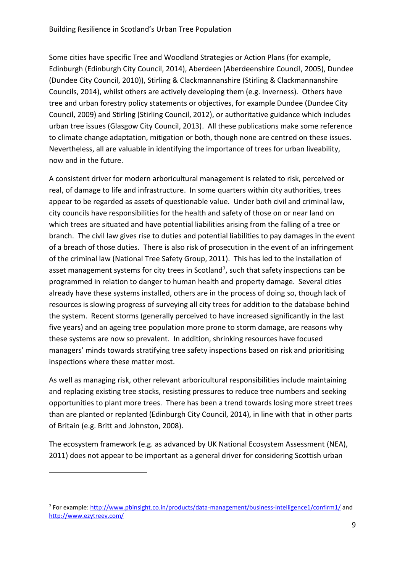Some cities have specific Tree and Woodland Strategies or Action Plans (for example, Edinburgh (Edinburgh City Council, 2014), Aberdeen (Aberdeenshire Council, 2005), Dundee (Dundee City Council, 2010)), Stirling & Clackmannanshire (Stirling & Clackmannanshire Councils, 2014), whilst others are actively developing them (e.g. Inverness). Others have tree and urban forestry policy statements or objectives, for example Dundee (Dundee City Council, 2009) and Stirling (Stirling Council, 2012), or authoritative guidance which includes urban tree issues (Glasgow City Council, 2013). All these publications make some reference to climate change adaptation, mitigation or both, though none are centred on these issues. Nevertheless, all are valuable in identifying the importance of trees for urban liveability, now and in the future.

A consistent driver for modern arboricultural management is related to risk, perceived or real, of damage to life and infrastructure. In some quarters within city authorities, trees appear to be regarded as assets of questionable value. Under both civil and criminal law, city councils have responsibilities for the health and safety of those on or near land on which trees are situated and have potential liabilities arising from the falling of a tree or branch. The civil law gives rise to duties and potential liabilities to pay damages in the event of a breach of those duties. There is also risk of prosecution in the event of an infringement of the criminal law (National Tree Safety Group, 2011). This has led to the installation of asset management systems for city trees in Scotland<sup>7</sup>, such that safety inspections can be programmed in relation to danger to human health and property damage. Several cities already have these systems installed, others are in the process of doing so, though lack of resources is slowing progress of surveying all city trees for addition to the database behind the system. Recent storms (generally perceived to have increased significantly in the last five years) and an ageing tree population more prone to storm damage, are reasons why these systems are now so prevalent. In addition, shrinking resources have focused managers' minds towards stratifying tree safety inspections based on risk and prioritising inspections where these matter most.

As well as managing risk, other relevant arboricultural responsibilities include maintaining and replacing existing tree stocks, resisting pressures to reduce tree numbers and seeking opportunities to plant more trees. There has been a trend towards losing more street trees than are planted or replanted (Edinburgh City Council, 2014), in line with that in other parts of Britain (e.g. Britt and Johnston, 2008).

The ecosystem framework (e.g. as advanced by UK National Ecosystem Assessment (NEA), 2011) does not appear to be important as a general driver for considering Scottish urban

<sup>&</sup>lt;sup>7</sup> For example[: http://www.pbinsight.co.in/products/data-management/business-intelligence1/confirm1/](http://www.pbinsight.co.in/products/data-management/business-intelligence1/confirm1/) and <http://www.ezytreev.com/>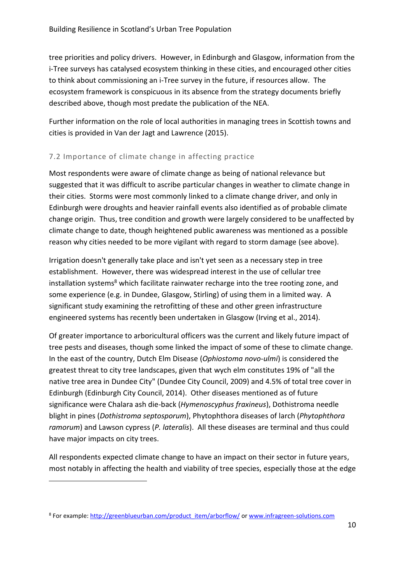tree priorities and policy drivers. However, in Edinburgh and Glasgow, information from the i-Tree surveys has catalysed ecosystem thinking in these cities, and encouraged other cities to think about commissioning an i-Tree survey in the future, if resources allow. The ecosystem framework is conspicuous in its absence from the strategy documents briefly described above, though most predate the publication of the NEA.

Further information on the role of local authorities in managing trees in Scottish towns and cities is provided in Van der Jagt and Lawrence (2015).

## 7.2 Importance of climate change in affecting practice

Most respondents were aware of climate change as being of national relevance but suggested that it was difficult to ascribe particular changes in weather to climate change in their cities. Storms were most commonly linked to a climate change driver, and only in Edinburgh were droughts and heavier rainfall events also identified as of probable climate change origin. Thus, tree condition and growth were largely considered to be unaffected by climate change to date, though heightened public awareness was mentioned as a possible reason why cities needed to be more vigilant with regard to storm damage (see above).

Irrigation doesn't generally take place and isn't yet seen as a necessary step in tree establishment. However, there was widespread interest in the use of cellular tree installation systems<sup>8</sup> which facilitate rainwater recharge into the tree rooting zone, and some experience (e.g. in Dundee, Glasgow, Stirling) of using them in a limited way. A significant study examining the retrofitting of these and other green infrastructure engineered systems has recently been undertaken in Glasgow (Irving et al., 2014).

Of greater importance to arboricultural officers was the current and likely future impact of tree pests and diseases, though some linked the impact of some of these to climate change. In the east of the country, Dutch Elm Disease (*Ophiostoma novo-ulmi*) is considered the greatest threat to city tree landscapes, given that wych elm constitutes 19% of "all the native tree area in Dundee City" (Dundee City Council, 2009) and 4.5% of total tree cover in Edinburgh (Edinburgh City Council, 2014). Other diseases mentioned as of future significance were Chalara ash die-back (*Hymenoscyphus fraxineus*), Dothistroma needle blight in pines (*Dothistroma septosporum*), Phytophthora diseases of larch (*Phytophthora ramorum*) and Lawson cypress (*P. lateralis*). All these diseases are terminal and thus could have major impacts on city trees.

All respondents expected climate change to have an impact on their sector in future years, most notably in affecting the health and viability of tree species, especially those at the edge

<sup>&</sup>lt;sup>8</sup> For example[: http://greenblueurban.com/product\\_item/arborflow/](http://greenblueurban.com/product_item/arborflow/) or [www.infragreen-solutions.com](file:///C:/Users/Andy/CXC%20urban%20resilience/www.infragreen-solutions.com)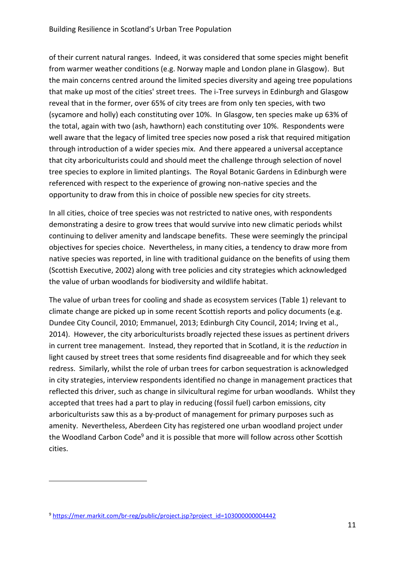of their current natural ranges. Indeed, it was considered that some species might benefit from warmer weather conditions (e.g. Norway maple and London plane in Glasgow). But the main concerns centred around the limited species diversity and ageing tree populations that make up most of the cities' street trees. The i-Tree surveys in Edinburgh and Glasgow reveal that in the former, over 65% of city trees are from only ten species, with two (sycamore and holly) each constituting over 10%. In Glasgow, ten species make up 63% of the total, again with two (ash, hawthorn) each constituting over 10%. Respondents were well aware that the legacy of limited tree species now posed a risk that required mitigation through introduction of a wider species mix. And there appeared a universal acceptance that city arboriculturists could and should meet the challenge through selection of novel tree species to explore in limited plantings. The Royal Botanic Gardens in Edinburgh were referenced with respect to the experience of growing non-native species and the opportunity to draw from this in choice of possible new species for city streets.

In all cities, choice of tree species was not restricted to native ones, with respondents demonstrating a desire to grow trees that would survive into new climatic periods whilst continuing to deliver amenity and landscape benefits. These were seemingly the principal objectives for species choice. Nevertheless, in many cities, a tendency to draw more from native species was reported, in line with traditional guidance on the benefits of using them (Scottish Executive, 2002) along with tree policies and city strategies which acknowledged the value of urban woodlands for biodiversity and wildlife habitat.

The value of urban trees for cooling and shade as ecosystem services (Table 1) relevant to climate change are picked up in some recent Scottish reports and policy documents (e.g. Dundee City Council, 2010; Emmanuel, 2013; Edinburgh City Council, 2014; Irving et al., 2014). However, the city arboriculturists broadly rejected these issues as pertinent drivers in current tree management. Instead, they reported that in Scotland, it is the *reduction* in light caused by street trees that some residents find disagreeable and for which they seek redress. Similarly, whilst the role of urban trees for carbon sequestration is acknowledged in city strategies, interview respondents identified no change in management practices that reflected this driver, such as change in silvicultural regime for urban woodlands. Whilst they accepted that trees had a part to play in reducing (fossil fuel) carbon emissions, city arboriculturists saw this as a by-product of management for primary purposes such as amenity. Nevertheless, Aberdeen City has registered one urban woodland project under the Woodland Carbon Code<sup>9</sup> and it is possible that more will follow across other Scottish cities.

<sup>9</sup> [https://mer.markit.com/br-reg/public/project.jsp?project\\_id=103000000004442](https://mer.markit.com/br-reg/public/project.jsp?project_id=103000000004442)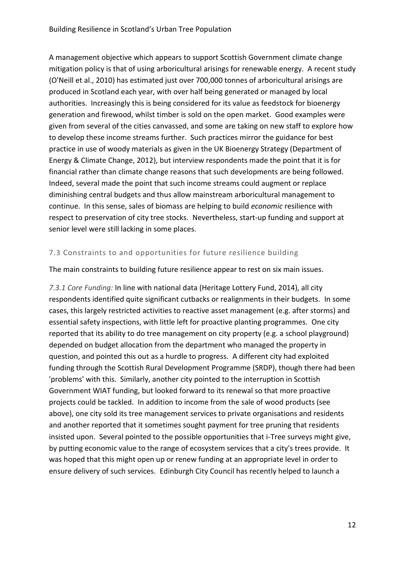A management objective which appears to support Scottish Government climate change mitigation policy is that of using arboricultural arisings for renewable energy. A recent study (O'Neill et al., 2010) has estimated just over 700,000 tonnes of arboricultural arisings are produced in Scotland each year, with over half being generated or managed by local authorities. Increasingly this is being considered for its value as feedstock for bioenergy generation and firewood, whilst timber is sold on the open market. Good examples were given from several of the cities canvassed, and some are taking on new staff to explore how to develop these income streams further. Such practices mirror the guidance for best practice in use of woody materials as given in the UK Bioenergy Strategy [\(Department of](https://www.gov.uk/government/organisations/department-of-energy-climate-change)  [Energy & Climate Change,](https://www.gov.uk/government/organisations/department-of-energy-climate-change) 2012), but interview respondents made the point that it is for financial rather than climate change reasons that such developments are being followed. Indeed, several made the point that such income streams could augment or replace diminishing central budgets and thus allow mainstream arboricultural management to continue. In this sense, sales of biomass are helping to build *economic* resilience with respect to preservation of city tree stocks. Nevertheless, start-up funding and support at senior level were still lacking in some places.

## 7.3 Constraints to and opportunities for future resilience building

The main constraints to building future resilience appear to rest on six main issues.

*7.3.1 Core Funding:* In line with national data (Heritage Lottery Fund, 2014), all city respondents identified quite significant cutbacks or realignments in their budgets. In some cases, this largely restricted activities to reactive asset management (e.g. after storms) and essential safety inspections, with little left for proactive planting programmes. One city reported that its ability to do tree management on city property (e.g. a school playground) depended on budget allocation from the department who managed the property in question, and pointed this out as a hurdle to progress. A different city had exploited funding through the Scottish Rural Development Programme (SRDP), though there had been 'problems' with this. Similarly, another city pointed to the interruption in Scottish Government WIAT funding, but looked forward to its renewal so that more proactive projects could be tackled. In addition to income from the sale of wood products (see above), one city sold its tree management services to private organisations and residents and another reported that it sometimes sought payment for tree pruning that residents insisted upon. Several pointed to the possible opportunities that i-Tree surveys might give, by putting economic value to the range of ecosystem services that a city's trees provide. It was hoped that this might open up or renew funding at an appropriate level in order to ensure delivery of such services. Edinburgh City Council has recently helped to launch a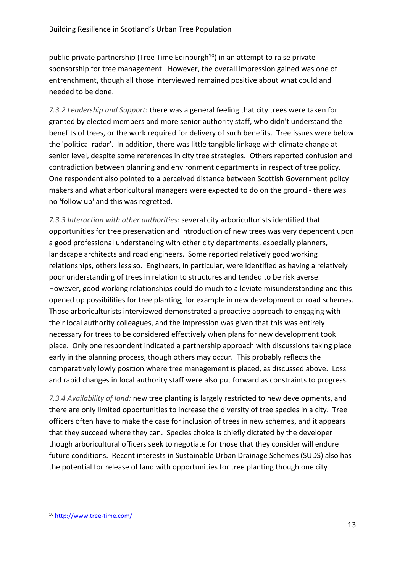public-private partnership (Tree Time Edinburgh<sup>10</sup>) in an attempt to raise private sponsorship for tree management. However, the overall impression gained was one of entrenchment, though all those interviewed remained positive about what could and needed to be done.

*7.3.2 Leadership and Support:* there was a general feeling that city trees were taken for granted by elected members and more senior authority staff, who didn't understand the benefits of trees, or the work required for delivery of such benefits. Tree issues were below the 'political radar'. In addition, there was little tangible linkage with climate change at senior level, despite some references in city tree strategies. Others reported confusion and contradiction between planning and environment departments in respect of tree policy. One respondent also pointed to a perceived distance between Scottish Government policy makers and what arboricultural managers were expected to do on the ground - there was no 'follow up' and this was regretted.

*7.3.3 Interaction with other authorities:* several city arboriculturists identified that opportunities for tree preservation and introduction of new trees was very dependent upon a good professional understanding with other city departments, especially planners, landscape architects and road engineers. Some reported relatively good working relationships, others less so. Engineers, in particular, were identified as having a relatively poor understanding of trees in relation to structures and tended to be risk averse. However, good working relationships could do much to alleviate misunderstanding and this opened up possibilities for tree planting, for example in new development or road schemes. Those arboriculturists interviewed demonstrated a proactive approach to engaging with their local authority colleagues, and the impression was given that this was entirely necessary for trees to be considered effectively when plans for new development took place. Only one respondent indicated a partnership approach with discussions taking place early in the planning process, though others may occur. This probably reflects the comparatively lowly position where tree management is placed, as discussed above. Loss and rapid changes in local authority staff were also put forward as constraints to progress.

*7.3.4 Availability of land:* new tree planting is largely restricted to new developments, and there are only limited opportunities to increase the diversity of tree species in a city. Tree officers often have to make the case for inclusion of trees in new schemes, and it appears that they succeed where they can. Species choice is chiefly dictated by the developer though arboricultural officers seek to negotiate for those that they consider will endure future conditions. Recent interests in Sustainable Urban Drainage Schemes (SUDS) also has the potential for release of land with opportunities for tree planting though one city

<sup>10</sup> <http://www.tree-time.com/>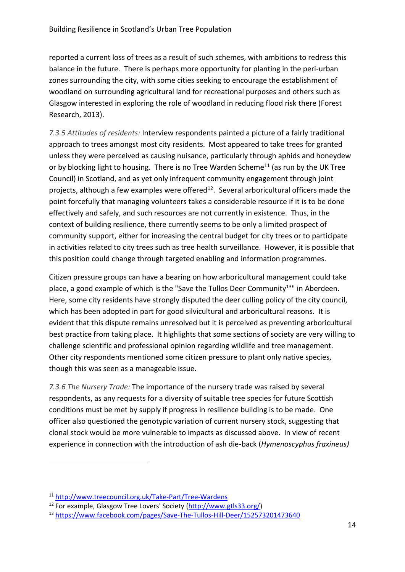reported a current loss of trees as a result of such schemes, with ambitions to redress this balance in the future. There is perhaps more opportunity for planting in the peri-urban zones surrounding the city, with some cities seeking to encourage the establishment of woodland on surrounding agricultural land for recreational purposes and others such as Glasgow interested in exploring the role of woodland in reducing flood risk there (Forest Research, 2013).

*7.3.5 Attitudes of residents:* Interview respondents painted a picture of a fairly traditional approach to trees amongst most city residents. Most appeared to take trees for granted unless they were perceived as causing nuisance, particularly through aphids and honeydew or by blocking light to housing. There is no Tree Warden Scheme<sup>11</sup> (as run by the UK Tree Council) in Scotland, and as yet only infrequent community engagement through joint projects, although a few examples were offered<sup>12</sup>. Several arboricultural officers made the point forcefully that managing volunteers takes a considerable resource if it is to be done effectively and safely, and such resources are not currently in existence. Thus, in the context of building resilience, there currently seems to be only a limited prospect of community support, either for increasing the central budget for city trees or to participate in activities related to city trees such as tree health surveillance. However, it is possible that this position could change through targeted enabling and information programmes.

Citizen pressure groups can have a bearing on how arboricultural management could take place, a good example of which is the "Save the Tullos Deer Community $13"$  in Aberdeen. Here, some city residents have strongly disputed the deer culling policy of the city council, which has been adopted in part for good silvicultural and arboricultural reasons. It is evident that this dispute remains unresolved but it is perceived as preventing arboricultural best practice from taking place. It highlights that some sections of society are very willing to challenge scientific and professional opinion regarding wildlife and tree management. Other city respondents mentioned some citizen pressure to plant only native species, though this was seen as a manageable issue.

*7.3.6 The Nursery Trade:* The importance of the nursery trade was raised by several respondents, as any requests for a diversity of suitable tree species for future Scottish conditions must be met by supply if progress in resilience building is to be made. One officer also questioned the genotypic variation of current nursery stock, suggesting that clonal stock would be more vulnerable to impacts as discussed above. In view of recent experience in connection with the introduction of ash die-back (*Hymenoscyphus fraxineus)*

<sup>11</sup> <http://www.treecouncil.org.uk/Take-Part/Tree-Wardens>

<sup>12</sup> For example, Glasgow Tree Lovers' Society [\(http://www.gtls33.org/\)](http://www.gtls33.org/)

<sup>13</sup> <https://www.facebook.com/pages/Save-The-Tullos-Hill-Deer/152573201473640>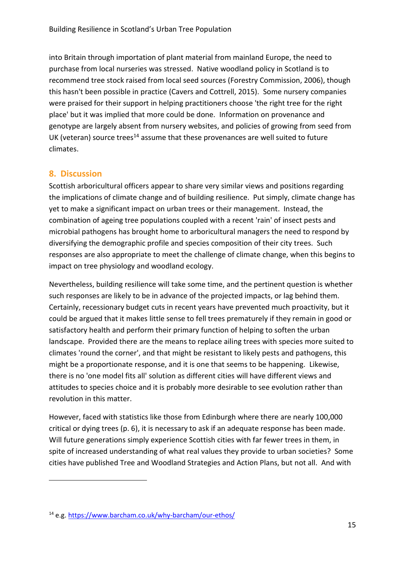into Britain through importation of plant material from mainland Europe, the need to purchase from local nurseries was stressed. Native woodland policy in Scotland is to recommend tree stock raised from local seed sources (Forestry Commission, 2006), though this hasn't been possible in practice (Cavers and Cottrell, 2015). Some nursery companies were praised for their support in helping practitioners choose 'the right tree for the right place' but it was implied that more could be done. Information on provenance and genotype are largely absent from nursery websites, and policies of growing from seed from UK (veteran) source trees<sup>14</sup> assume that these provenances are well suited to future climates.

# **8. Discussion**

<u>.</u>

Scottish arboricultural officers appear to share very similar views and positions regarding the implications of climate change and of building resilience. Put simply, climate change has yet to make a significant impact on urban trees or their management. Instead, the combination of ageing tree populations coupled with a recent 'rain' of insect pests and microbial pathogens has brought home to arboricultural managers the need to respond by diversifying the demographic profile and species composition of their city trees. Such responses are also appropriate to meet the challenge of climate change, when this begins to impact on tree physiology and woodland ecology.

Nevertheless, building resilience will take some time, and the pertinent question is whether such responses are likely to be in advance of the projected impacts, or lag behind them. Certainly, recessionary budget cuts in recent years have prevented much proactivity, but it could be argued that it makes little sense to fell trees prematurely if they remain in good or satisfactory health and perform their primary function of helping to soften the urban landscape. Provided there are the means to replace ailing trees with species more suited to climates 'round the corner', and that might be resistant to likely pests and pathogens, this might be a proportionate response, and it is one that seems to be happening. Likewise, there is no 'one model fits all' solution as different cities will have different views and attitudes to species choice and it is probably more desirable to see evolution rather than revolution in this matter.

However, faced with statistics like those from Edinburgh where there are nearly 100,000 critical or dying trees (p. 6), it is necessary to ask if an adequate response has been made. Will future generations simply experience Scottish cities with far fewer trees in them, in spite of increased understanding of what real values they provide to urban societies? Some cities have published Tree and Woodland Strategies and Action Plans, but not all. And with

<sup>14</sup> e.g.<https://www.barcham.co.uk/why-barcham/our-ethos/>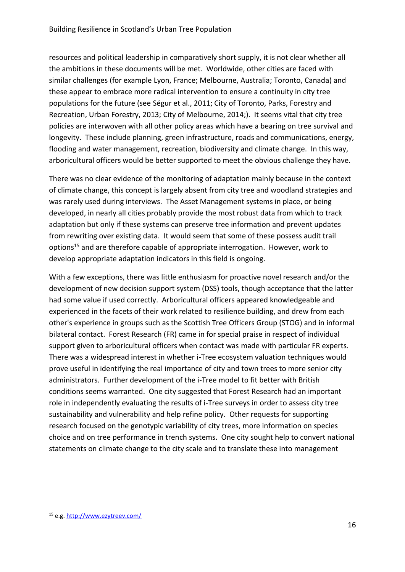resources and political leadership in comparatively short supply, it is not clear whether all the ambitions in these documents will be met. Worldwide, other cities are faced with similar challenges (for example Lyon, France; Melbourne, Australia; Toronto, Canada) and these appear to embrace more radical intervention to ensure a continuity in city tree populations for the future (see Ségur et al., 2011; City of Toronto, Parks, Forestry and Recreation, Urban Forestry, 2013; City of Melbourne, 2014;). It seems vital that city tree policies are interwoven with all other policy areas which have a bearing on tree survival and longevity. These include planning, green infrastructure, roads and communications, energy, flooding and water management, recreation, biodiversity and climate change. In this way, arboricultural officers would be better supported to meet the obvious challenge they have.

There was no clear evidence of the monitoring of adaptation mainly because in the context of climate change, this concept is largely absent from city tree and woodland strategies and was rarely used during interviews. The Asset Management systems in place, or being developed, in nearly all cities probably provide the most robust data from which to track adaptation but only if these systems can preserve tree information and prevent updates from rewriting over existing data. It would seem that some of these possess audit trail options<sup>15</sup> and are therefore capable of appropriate interrogation. However, work to develop appropriate adaptation indicators in this field is ongoing.

With a few exceptions, there was little enthusiasm for proactive novel research and/or the development of new decision support system (DSS) tools, though acceptance that the latter had some value if used correctly. Arboricultural officers appeared knowledgeable and experienced in the facets of their work related to resilience building, and drew from each other's experience in groups such as the Scottish Tree Officers Group (STOG) and in informal bilateral contact. Forest Research (FR) came in for special praise in respect of individual support given to arboricultural officers when contact was made with particular FR experts. There was a widespread interest in whether i-Tree ecosystem valuation techniques would prove useful in identifying the real importance of city and town trees to more senior city administrators. Further development of the i-Tree model to fit better with British conditions seems warranted. One city suggested that Forest Research had an important role in independently evaluating the results of i-Tree surveys in order to assess city tree sustainability and vulnerability and help refine policy. Other requests for supporting research focused on the genotypic variability of city trees, more information on species choice and on tree performance in trench systems. One city sought help to convert national statements on climate change to the city scale and to translate these into management

<sup>15</sup> e.g.<http://www.ezytreev.com/>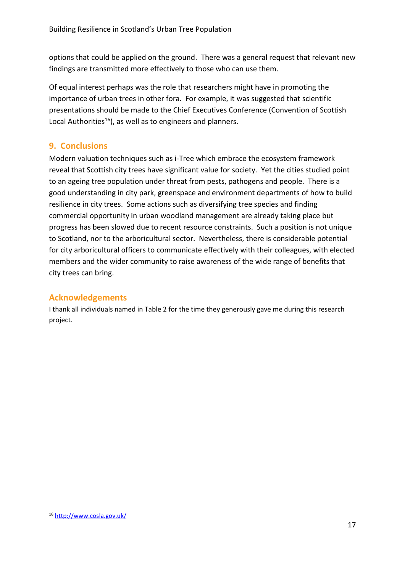options that could be applied on the ground. There was a general request that relevant new findings are transmitted more effectively to those who can use them.

Of equal interest perhaps was the role that researchers might have in promoting the importance of urban trees in other fora. For example, it was suggested that scientific presentations should be made to the Chief Executives Conference (Convention of Scottish Local Authorities<sup>16</sup>), as well as to engineers and planners.

# **9. Conclusions**

Modern valuation techniques such as i-Tree which embrace the ecosystem framework reveal that Scottish city trees have significant value for society. Yet the cities studied point to an ageing tree population under threat from pests, pathogens and people. There is a good understanding in city park, greenspace and environment departments of how to build resilience in city trees. Some actions such as diversifying tree species and finding commercial opportunity in urban woodland management are already taking place but progress has been slowed due to recent resource constraints. Such a position is not unique to Scotland, nor to the arboricultural sector. Nevertheless, there is considerable potential for city arboricultural officers to communicate effectively with their colleagues, with elected members and the wider community to raise awareness of the wide range of benefits that city trees can bring.

# **Acknowledgements**

I thank all individuals named in Table 2 for the time they generously gave me during this research project.

<sup>16</sup> <http://www.cosla.gov.uk/>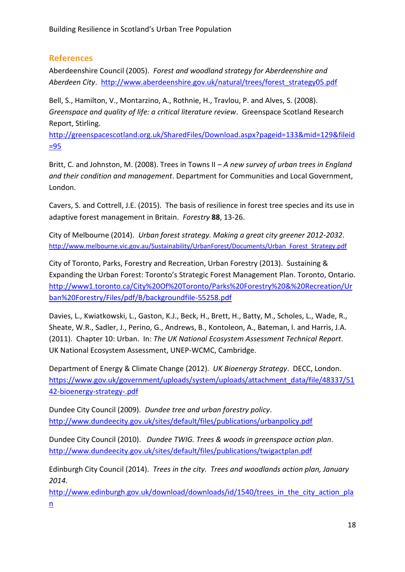# **References**

Aberdeenshire Council (2005). *Forest and woodland strategy for Aberdeenshire and Aberdeen City*. [http://www.aberdeenshire.gov.uk/natural/trees/forest\\_strategy05.pdf](http://www.aberdeenshire.gov.uk/natural/trees/forest_strategy05.pdf)

Bell, S., Hamilton, V., Montarzino, A., Rothnie, H., Travlou, P. and Alves, S. (2008). *Greenspace and quality of life: a critical literature review*. Greenspace Scotland Research Report, Stirling.

[http://greenspacescotland.org.uk/SharedFiles/Download.aspx?pageid=133&mid=129&fileid](http://greenspacescotland.org.uk/SharedFiles/Download.aspx?pageid=133&mid=129&fileid=95) [=95](http://greenspacescotland.org.uk/SharedFiles/Download.aspx?pageid=133&mid=129&fileid=95)

Britt, C. and Johnston, M. (2008). Trees in Towns II – *A new survey of urban trees in England and their condition and management*. Department for Communities and Local Government, London.

Cavers, S. and Cottrell, J.E. (2015). The basis of resilience in forest tree species and its use in adaptive forest management in Britain. *Forestry* **88**, 13-26.

City of Melbourne (2014). *Urban forest strategy. Making a great city greener 2012-2032*. [http://www.melbourne.vic.gov.au/Sustainability/UrbanForest/Documents/Urban\\_Forest\\_Strategy.pdf](http://www.melbourne.vic.gov.au/Sustainability/UrbanForest/Documents/Urban_Forest_Strategy.pdf)

City of Toronto, Parks, Forestry and Recreation, Urban Forestry (2013). Sustaining & Expanding the Urban Forest: Toronto's Strategic Forest Management Plan. Toronto, Ontario. [http://www1.toronto.ca/City%20Of%20Toronto/Parks%20Forestry%20&%20Recreation/Ur](http://www1.toronto.ca/City%20Of%20Toronto/Parks%20Forestry%20&%20Recreation/Urban%20Forestry/Files/pdf/B/backgroundfile-55258.pdf) [ban%20Forestry/Files/pdf/B/backgroundfile-55258.pdf](http://www1.toronto.ca/City%20Of%20Toronto/Parks%20Forestry%20&%20Recreation/Urban%20Forestry/Files/pdf/B/backgroundfile-55258.pdf)

Davies, L., Kwiatkowski, L., Gaston, K.J., Beck, H., Brett, H., Batty, M., Scholes, L., Wade, R., Sheate, W.R., Sadler, J., Perino, G., Andrews, B., Kontoleon, A., Bateman, I. and Harris, J.A. (2011). Chapter 10: Urban. In: *The UK National Ecosystem Assessment Technical Report*. UK National Ecosystem Assessment, UNEP-WCMC, Cambridge.

[Department of Energy & Climate Change](https://www.gov.uk/government/organisations/department-of-energy-climate-change) (2012). *UK Bioenergy Strategy*. DECC, London. [https://www.gov.uk/government/uploads/system/uploads/attachment\\_data/file/48337/51](https://www.gov.uk/government/uploads/system/uploads/attachment_data/file/48337/5142-bioenergy-strategy-.pdf) [42-bioenergy-strategy-.pdf](https://www.gov.uk/government/uploads/system/uploads/attachment_data/file/48337/5142-bioenergy-strategy-.pdf)

Dundee City Council (2009). *Dundee tree and urban forestry policy*. <http://www.dundeecity.gov.uk/sites/default/files/publications/urbanpolicy.pdf>

Dundee City Council (2010). *Dundee TWIG. Trees & woods in greenspace action plan*. <http://www.dundeecity.gov.uk/sites/default/files/publications/twigactplan.pdf>

Edinburgh City Council (2014). *Trees in the city. Trees and woodlands action plan, January 2014*.

[http://www.edinburgh.gov.uk/download/downloads/id/1540/trees\\_in\\_the\\_city\\_action\\_pla](http://www.edinburgh.gov.uk/download/downloads/id/1540/trees_in_the_city_action_plan) [n](http://www.edinburgh.gov.uk/download/downloads/id/1540/trees_in_the_city_action_plan)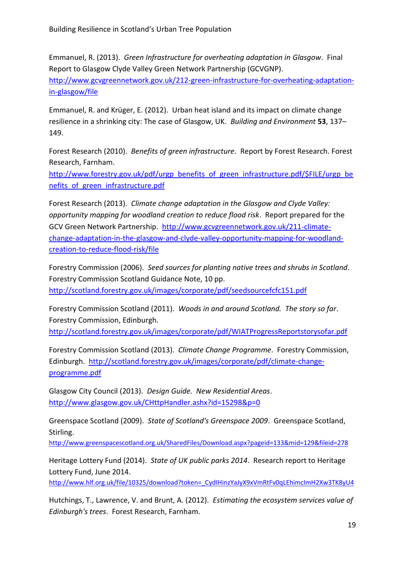Emmanuel, R. (2013). *Green Infrastructure for overheating adaptation in Glasgow*. Final Report to Glasgow Clyde Valley Green Network Partnership (GCVGNP). [http://www.gcvgreennetwork.gov.uk/212-green-infrastructure-for-overheating-adaptation](http://www.gcvgreennetwork.gov.uk/212-green-infrastructure-for-overheating-adaptation-in-glasgow/file)[in-glasgow/file](http://www.gcvgreennetwork.gov.uk/212-green-infrastructure-for-overheating-adaptation-in-glasgow/file)

Emmanuel, R. and Krüger, E. (2012). Urban heat island and its impact on climate change resilience in a shrinking city: The case of Glasgow, UK. *Building and Environment* **[53](http://www.sciencedirect.com/science/journal/03601323/53/supp/C)**, 137– 149.

Forest Research (2010). *Benefits of green infrastructure*. Report by Forest Research. Forest Research, Farnham.

[http://www.forestry.gov.uk/pdf/urgp\\_benefits\\_of\\_green\\_infrastructure.pdf/\\$FILE/urgp\\_be](http://www.forestry.gov.uk/pdf/urgp_benefits_of_green_infrastructure.pdf/$FILE/urgp_benefits_of_green_infrastructure.pdf) nefits of green infrastructure.pdf

Forest Research (2013). *Climate change adaptation in the Glasgow and Clyde Valley: opportunity mapping for woodland creation to reduce flood risk*. Report prepared for the GCV Green Network Partnership. [http://www.gcvgreennetwork.gov.uk/211-climate](http://www.gcvgreennetwork.gov.uk/211-climate-change-adaptation-in-the-glasgow-and-clyde-valley-opportunity-mapping-for-woodland-creation-to-reduce-flood-risk/file)[change-adaptation-in-the-glasgow-and-clyde-valley-opportunity-mapping-for-woodland](http://www.gcvgreennetwork.gov.uk/211-climate-change-adaptation-in-the-glasgow-and-clyde-valley-opportunity-mapping-for-woodland-creation-to-reduce-flood-risk/file)[creation-to-reduce-flood-risk/file](http://www.gcvgreennetwork.gov.uk/211-climate-change-adaptation-in-the-glasgow-and-clyde-valley-opportunity-mapping-for-woodland-creation-to-reduce-flood-risk/file)

Forestry Commission (2006). *Seed sources for planting native trees and shrubs in Scotland*. Forestry Commission Scotland Guidance Note, 10 pp. <http://scotland.forestry.gov.uk/images/corporate/pdf/seedsourcefcfc151.pdf>

Forestry Commission Scotland (2011). *Woods in and around Scotland. The story so far*. Forestry Commission, Edinburgh.

<http://scotland.forestry.gov.uk/images/corporate/pdf/WIATProgressReportstorysofar.pdf>

Forestry Commission Scotland (2013). *Climate Change Programme*. Forestry Commission, Edinburgh. [http://scotland.forestry.gov.uk/images/corporate/pdf/climate-change](http://scotland.forestry.gov.uk/images/corporate/pdf/climate-change-programme.pdf)[programme.pdf](http://scotland.forestry.gov.uk/images/corporate/pdf/climate-change-programme.pdf)

Glasgow City Council (2013). *Design Guide. New Residential Areas*. <http://www.glasgow.gov.uk/CHttpHandler.ashx?id=15298&p=0>

Greenspace Scotland (2009). *State of Scotland's Greenspace 2009*. Greenspace Scotland, Stirling.

<http://www.greenspacescotland.org.uk/SharedFiles/Download.aspx?pageid=133&mid=129&fileid=278>

Heritage Lottery Fund (2014). *State of UK public parks 2014*. Research report to Heritage Lottery Fund, June 2014.

[http://www.hlf.org.uk/file/10325/download?token=\\_CydIHinzYaJyX9xVmRtFv0qLEhimcImH2Xw3TK8yU4](http://www.hlf.org.uk/file/10325/download?token=_CydIHinzYaJyX9xVmRtFv0qLEhimcImH2Xw3TK8yU4)

Hutchings, T., Lawrence, V. and Brunt, A. (2012). *Estimating the ecosystem services value of Edinburgh's trees*. Forest Research, Farnham.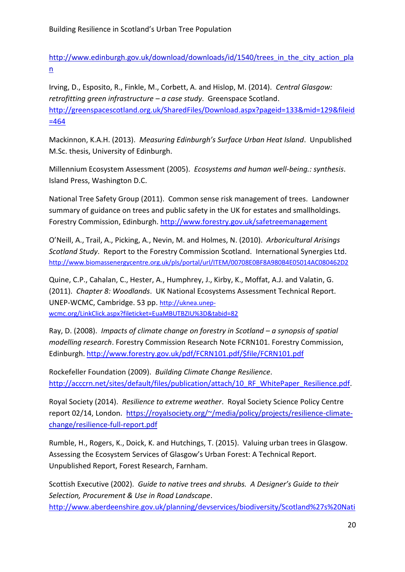[http://www.edinburgh.gov.uk/download/downloads/id/1540/trees\\_in\\_the\\_city\\_action\\_pla](http://www.edinburgh.gov.uk/download/downloads/id/1540/trees_in_the_city_action_plan) [n](http://www.edinburgh.gov.uk/download/downloads/id/1540/trees_in_the_city_action_plan)

Irving, D., Esposito, R., Finkle, M., Corbett, A. and Hislop, M. (2014). *Central Glasgow: retrofitting green infrastructure – a case study*. Greenspace Scotland. [http://greenspacescotland.org.uk/SharedFiles/Download.aspx?pageid=133&mid=129&fileid](http://greenspacescotland.org.uk/SharedFiles/Download.aspx?pageid=133&mid=129&fileid=464)  $=464$ 

Mackinnon, K.A.H. (2013). *Measuring Edinburgh's Surface Urban Heat Island*. Unpublished M.Sc. thesis, University of Edinburgh.

Millennium Ecosystem Assessment (2005). *Ecosystems and human well-being.: synthesis*. Island Press, Washington D.C.

National Tree Safety Group (2011). Common sense risk management of trees. Landowner summary of guidance on trees and public safety in the UK for estates and smallholdings. Forestry Commission, Edinburgh.<http://www.forestry.gov.uk/safetreemanagement>

O'Neill, A., Trail, A., Picking, A., Nevin, M. and Holmes, N. (2010). *Arboricultural Arisings Scotland Study*. Report to the Forestry Commission Scotland. International Synergies Ltd. <http://www.biomassenergycentre.org.uk/pls/portal/url/ITEM/00708E0BF8A980B4E05014AC080462D2>

Quine, C.P., Cahalan, C., Hester, A., Humphrey, J., Kirby, K., Moffat, A.J. and Valatin, G. (2011). *Chapter 8: Woodlands*. UK National Ecosystems Assessment Technical Report. UNEP-WCMC, Cambridge. 53 pp. [http://uknea.unep](http://uknea.unep-wcmc.org/LinkClick.aspx?fileticket=EuaMBUTBZIU%3D&tabid=82)[wcmc.org/LinkClick.aspx?fileticket=EuaMBUTBZIU%3D&tabid=82](http://uknea.unep-wcmc.org/LinkClick.aspx?fileticket=EuaMBUTBZIU%3D&tabid=82)

Ray, D. (2008). *Impacts of climate change on forestry in Scotland – a synopsis of spatial modelling research*. Forestry Commission Research Note FCRN101. Forestry Commission, Edinburgh. [http://www.forestry.gov.uk/pdf/FCRN101.pdf/\\$file/FCRN101.pdf](http://www.forestry.gov.uk/pdf/FCRN101.pdf/$file/FCRN101.pdf)

Rockefeller Foundation (2009). *Building Climate Change Resilience*. [http://acccrn.net/sites/default/files/publication/attach/10\\_RF\\_WhitePaper\\_Resilience.pdf.](http://acccrn.net/sites/default/files/publication/attach/10_RF_WhitePaper_Resilience.pdf)

Royal Society (2014). *Resilience to extreme weather*. Royal Society Science Policy Centre report 02/14, London. [https://royalsociety.org/~/media/policy/projects/resilience-climate](https://royalsociety.org/~/media/policy/projects/resilience-climate-change/resilience-full-report.pdf)[change/resilience-full-report.pdf](https://royalsociety.org/~/media/policy/projects/resilience-climate-change/resilience-full-report.pdf)

Rumble, H., Rogers, K., Doick, K. and Hutchings, T. (2015). Valuing urban trees in Glasgow. Assessing the Ecosystem Services of Glasgow's Urban Forest: A Technical Report. Unpublished Report, Forest Research, Farnham.

Scottish Executive (2002). *Guide to native trees and shrubs. A Designer's Guide to their Selection, Procurement & Use in Road Landscape*. [http://www.aberdeenshire.gov.uk/planning/devservices/biodiversity/Scotland%27s%20Nati](http://www.aberdeenshire.gov.uk/planning/devservices/biodiversity/Scotland%27s%20Native%20Trees%20and%20Shrubs%20A%20Designer%27s%20Guide%20to%20their%20Selection,%20Procurement%20and%20Use%20in%20Road%20Landscaping.pdf)